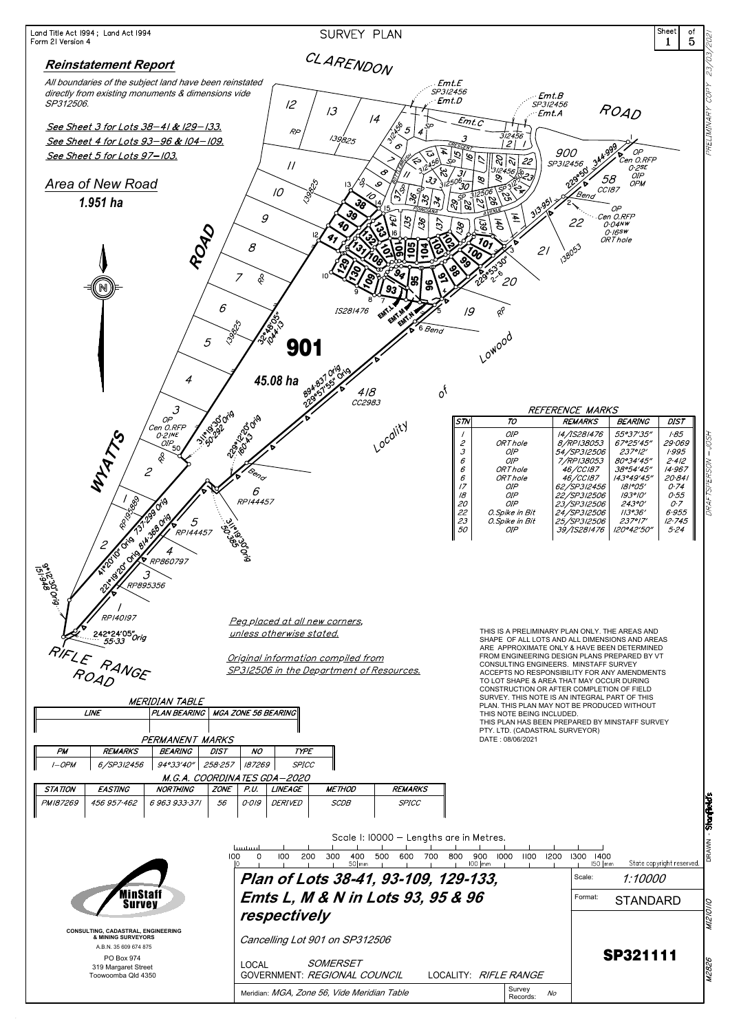

| M.G.A. COORDINATES GDA-2020                                                       |                                      |                                              |                       |                   |                                          |                          |                                 |                           |             |
|-----------------------------------------------------------------------------------|--------------------------------------|----------------------------------------------|-----------------------|-------------------|------------------------------------------|--------------------------|---------------------------------|---------------------------|-------------|
| STATION<br><b>EASTING</b><br><b>NORTHING</b>                                      | <b>ZONE</b>                          | <b>LINEAGE</b><br>P.U.                       | <b>METHOD</b>         | <b>REMARKS</b>    |                                          |                          |                                 |                           |             |
| 6 963 933 371<br>PM187269<br>456 957 462                                          | 56                                   | O·O/G<br><i>DERIVED</i>                      | <b>SCDB</b>           | <b>SPICC</b>      |                                          |                          |                                 |                           |             |
|                                                                                   |                                      |                                              |                       |                   | Scale I: 10000 - Lengths are in Metres.  |                          |                                 |                           | Stanfield's |
|                                                                                   | hmm<br>100                           | 200<br>100                                   | 300<br>400<br>$50$ mm | 500<br>700<br>600 | 900<br>1000<br>-800<br>$100$ $\text{mm}$ | 1100<br>1200             | 1300<br>1400<br>$150$ $\mid$ mm | State copyright reserved. |             |
|                                                                                   | Plan of Lots 38-41, 93-109, 129-133, |                                              |                       |                   |                                          |                          |                                 |                           |             |
| MinStaff<br><b>Survey</b>                                                         | Format:                              | <b>STANDARD</b>                              | 2                     |                   |                                          |                          |                                 |                           |             |
|                                                                                   |                                      | respectively                                 |                       |                   |                                          |                          |                                 |                           |             |
| CONSULTING, CADASTRAL, ENGINEERING<br>& MINING SURVEYORS<br>A.B.N. 35 609 674 875 |                                      | Cancelling Lot 901 on SP312506               |                       |                   |                                          |                          |                                 |                           |             |
| PO Box 974<br>319 Margaret Street<br>Toowoomba Qld 4350                           |                                      | <b>LOCAL</b><br>GOVERNMENT: REGIONAL COUNCIL | SOMERSET              |                   | LOCALITY: RIFLE RANGE                    |                          |                                 | <b>SP321111</b>           | 828         |
|                                                                                   |                                      | Meridian: MGA, Zone 56, Vide Meridian Table  |                       |                   |                                          | Survey<br>No<br>Records: |                                 |                           |             |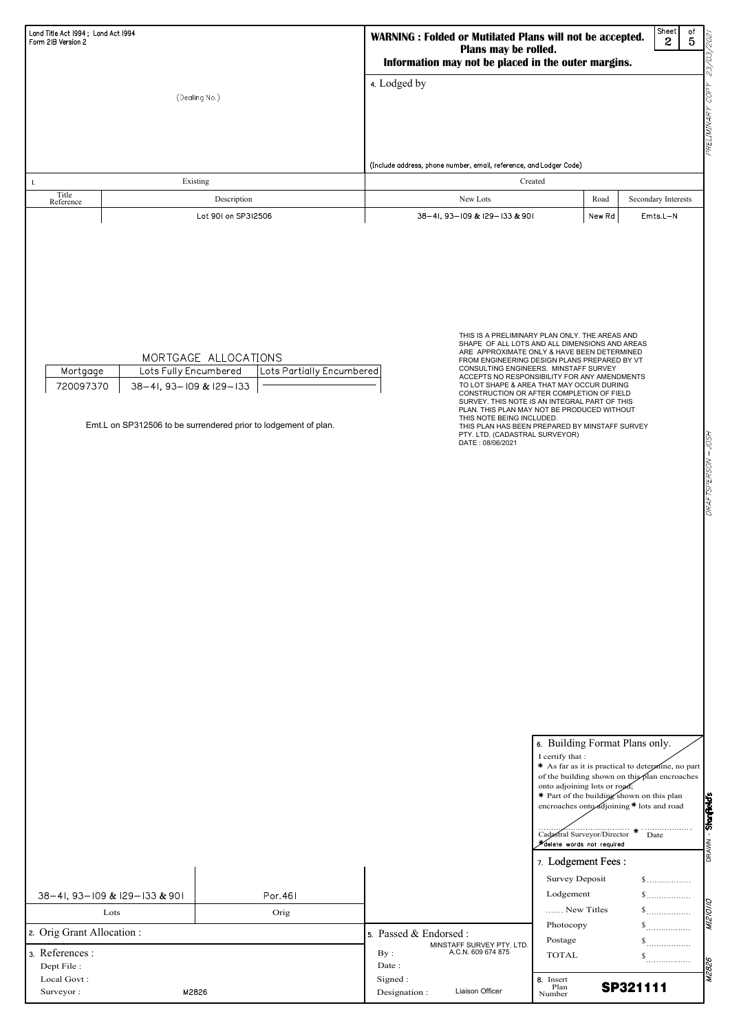\* As far as it is practical to determine, no part of the building shown on this plan encroaches

|                                   |          |                          |                           | onto adjoining lots or road;<br>* Part of the building shown on this plan<br>encroaches onto djoining * lots and road<br>Cadastral Surveyor/Director<br><del>X</del> delete words not required | .  .<br>Date                             | Stanfield's |
|-----------------------------------|----------|--------------------------|---------------------------|------------------------------------------------------------------------------------------------------------------------------------------------------------------------------------------------|------------------------------------------|-------------|
|                                   |          |                          |                           | 7. Lodgement Fees:<br><b>Survey Deposit</b>                                                                                                                                                    | $\$\ldots\ldots\ldots\ldots\ldots\ldots$ |             |
| 38-41, 93-109 & 129-133 & 901     | Por. 461 |                          |                           | Lodgement                                                                                                                                                                                      | $\mathbb$                                |             |
| Lots                              | Orig     |                          |                           | New Titles                                                                                                                                                                                     |                                          |             |
| 2. Orig Grant Allocation :        |          | 5. Passed & Endorsed :   | MINSTAFF SURVEY PTY. LTD. | Photocopy<br>Postage                                                                                                                                                                           |                                          |             |
| 3. References :<br>Dept File:     |          | By:<br>Date:             | A.C.N. 609 674 875        | <b>TOTAL</b>                                                                                                                                                                                   | <br>                                     |             |
| Local Govt:<br>Surveyor:<br>M2826 |          | Signed:<br>Designation : | Liaison Officer           | 8. Insert<br>Plan<br>Number                                                                                                                                                                    | <b>SP321111</b>                          |             |

| Land Title Act 1994; Land Act 1994<br>Form 2IB Version 2 |                                                                                                                                                                          | WARNING : Folded or Mutilated Plans will not be accepted.<br>Plans may be rolled.<br>Information may not be placed in the outer margins.                                                                                                                                                                                                                                                                                                                                                                                                                                                                                |        | Sheet<br>оf<br>202<br>$\overline{5}$<br>$\mathbf{c}$<br>Q, |
|----------------------------------------------------------|--------------------------------------------------------------------------------------------------------------------------------------------------------------------------|-------------------------------------------------------------------------------------------------------------------------------------------------------------------------------------------------------------------------------------------------------------------------------------------------------------------------------------------------------------------------------------------------------------------------------------------------------------------------------------------------------------------------------------------------------------------------------------------------------------------------|--------|------------------------------------------------------------|
|                                                          | (Dealing No.)                                                                                                                                                            | 4. Lodged by                                                                                                                                                                                                                                                                                                                                                                                                                                                                                                                                                                                                            |        | V.<br>PRELIMINARY COPY                                     |
|                                                          |                                                                                                                                                                          | (Include address, phone number, email, reference, and Lodger Code)                                                                                                                                                                                                                                                                                                                                                                                                                                                                                                                                                      |        |                                                            |
| Ι.                                                       | Existing                                                                                                                                                                 | Created                                                                                                                                                                                                                                                                                                                                                                                                                                                                                                                                                                                                                 |        |                                                            |
| Title<br>Reference                                       | Description                                                                                                                                                              | New Lots                                                                                                                                                                                                                                                                                                                                                                                                                                                                                                                                                                                                                | Road   | Secondary Interests                                        |
|                                                          | Lot 901 on SP312506                                                                                                                                                      | 38-41, 93-109 & 129-133 & 901                                                                                                                                                                                                                                                                                                                                                                                                                                                                                                                                                                                           | New Rd | $Emts.L-N$                                                 |
| Mortgage<br>720097370                                    | MORTGAGE ALLOCATIONS<br>Lots Fully Encumbered<br>Lots Partially Encumbered<br>38-41, 93-109 & 129-133<br>Emt.L on SP312506 to be surrendered prior to lodgement of plan. | THIS IS A PRELIMINARY PLAN ONLY. THE AREAS AND<br>SHAPE OF ALL LOTS AND ALL DIMENSIONS AND AREAS<br>ARE APPROXIMATE ONLY & HAVE BEEN DETERMINED<br>FROM ENGINEERING DESIGN PLANS PREPARED BY VT<br>CONSULTING ENGINEERS. MINSTAFF SURVEY<br>ACCEPTS NO RESPONSIBILITY FOR ANY AMENDMENTS<br>TO LOT SHAPE & AREA THAT MAY OCCUR DURING<br>CONSTRUCTION OR AFTER COMPLETION OF FIELD<br>SURVEY. THIS NOTE IS AN INTEGRAL PART OF THIS<br>PLAN. THIS PLAN MAY NOT BE PRODUCED WITHOUT<br>THIS NOTE BEING INCLUDED.<br>THIS PLAN HAS BEEN PREPARED BY MINSTAFF SURVEY<br>PTY. LTD. (CADASTRAL SURVEYOR)<br>DATE: 08/06/2021 |        | DRAFTSPERSON – JOSH                                        |

|  | 6. Building Format Plans only. |  |  |  |
|--|--------------------------------|--|--|--|
|--|--------------------------------|--|--|--|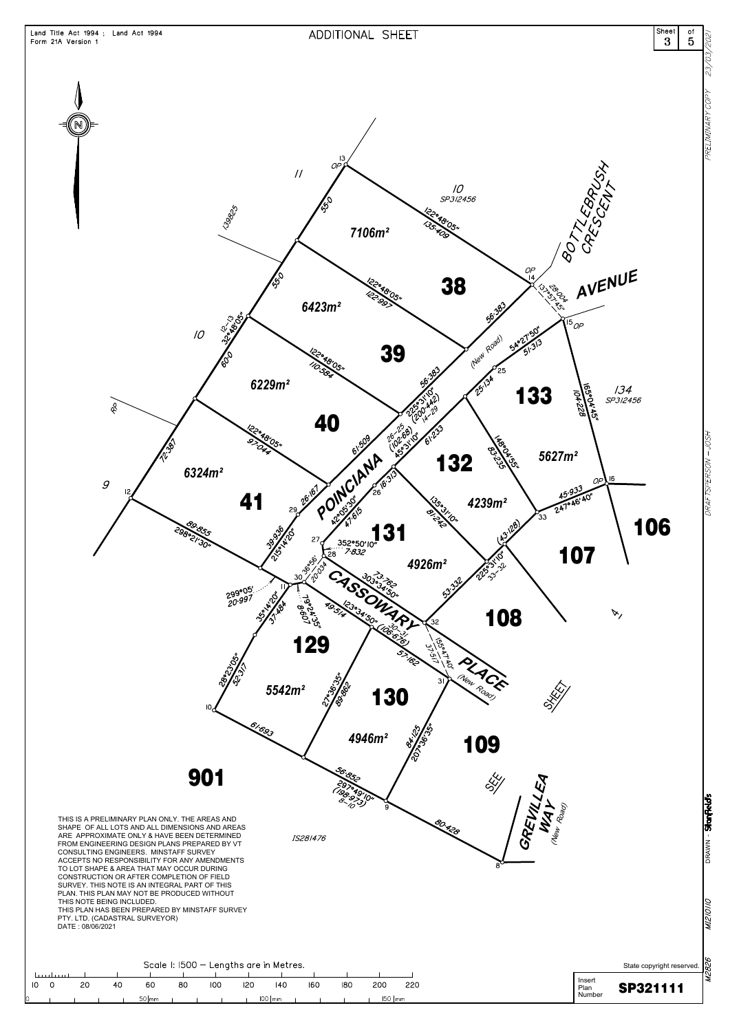

|    | Scale I: 1500 - Lengths are in Metres. |    |    |                  |    |     |     |                    |     | State copyright reserved. $\mathbb{Q}$ |          |     |                                     |
|----|----------------------------------------|----|----|------------------|----|-----|-----|--------------------|-----|----------------------------------------|----------|-----|-------------------------------------|
|    | <u>Litre Litreal</u>                   |    |    |                  |    |     |     |                    |     |                                        |          |     |                                     |
| 10 |                                        | 20 | 40 | 60               | 80 | 100 | 120 | 140                | 160 | 180                                    | 200      | 220 | Insert<br><b>SP321111</b><br>' Plan |
|    |                                        |    |    | $50$ $\text{mm}$ |    |     |     | $100$ $\text{lmm}$ |     |                                        | $150$ mm |     | Number                              |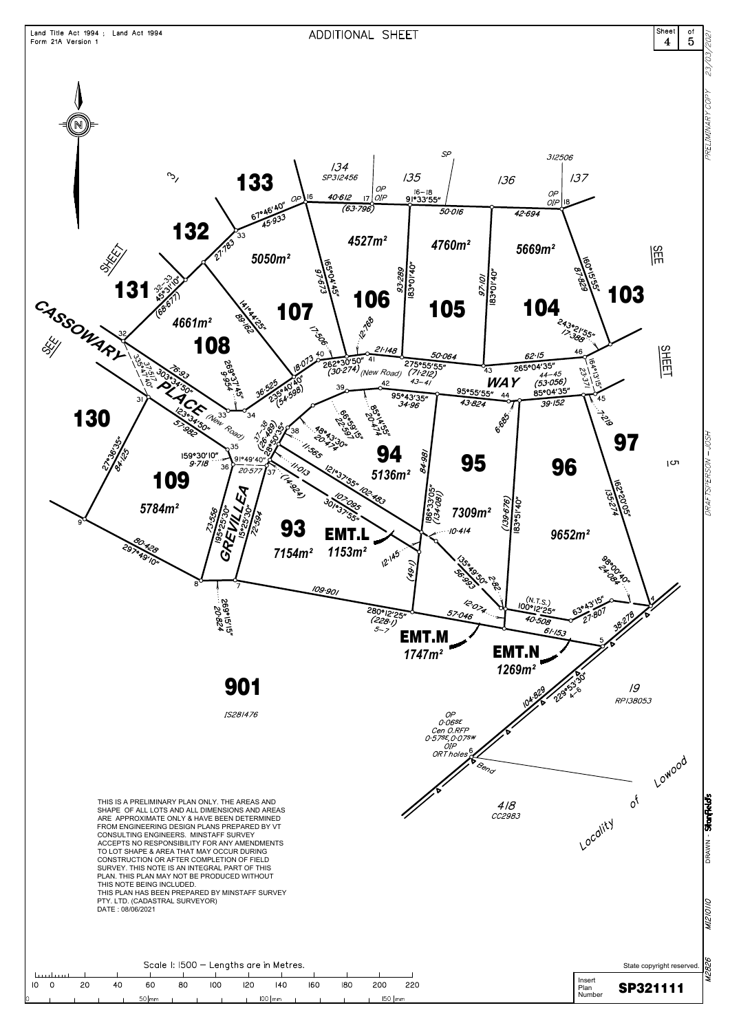